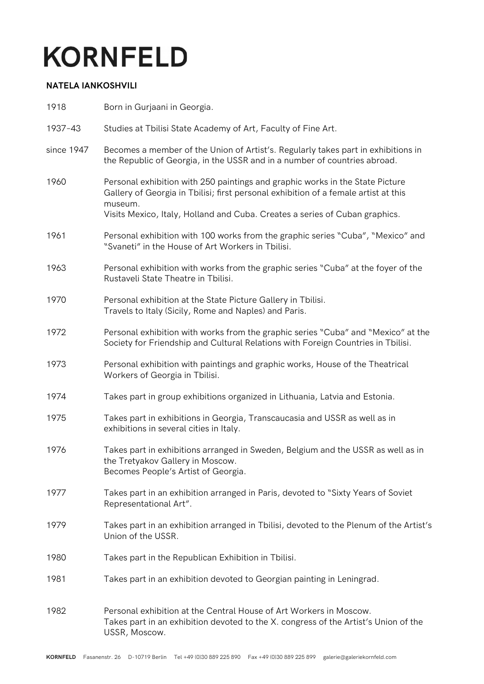## **KORNFELD**

## **NATELA IANKOSHVILI**

| 1918       | Born in Gurjaani in Georgia.                                                                                                                                                                                                                                   |
|------------|----------------------------------------------------------------------------------------------------------------------------------------------------------------------------------------------------------------------------------------------------------------|
| 1937-43    | Studies at Tbilisi State Academy of Art, Faculty of Fine Art.                                                                                                                                                                                                  |
| since 1947 | Becomes a member of the Union of Artist's. Regularly takes part in exhibitions in<br>the Republic of Georgia, in the USSR and in a number of countries abroad.                                                                                                 |
| 1960       | Personal exhibition with 250 paintings and graphic works in the State Picture<br>Gallery of Georgia in Tbilisi; first personal exhibition of a female artist at this<br>museum.<br>Visits Mexico, Italy, Holland and Cuba. Creates a series of Cuban graphics. |
| 1961       | Personal exhibition with 100 works from the graphic series "Cuba", "Mexico" and<br>"Svaneti" in the House of Art Workers in Tbilisi.                                                                                                                           |
| 1963       | Personal exhibition with works from the graphic series "Cuba" at the foyer of the<br>Rustaveli State Theatre in Tbilisi.                                                                                                                                       |
| 1970       | Personal exhibition at the State Picture Gallery in Tbilisi.<br>Travels to Italy (Sicily, Rome and Naples) and Paris.                                                                                                                                          |
| 1972       | Personal exhibition with works from the graphic series "Cuba" and "Mexico" at the<br>Society for Friendship and Cultural Relations with Foreign Countries in Tbilisi.                                                                                          |
| 1973       | Personal exhibition with paintings and graphic works, House of the Theatrical<br>Workers of Georgia in Tbilisi.                                                                                                                                                |
| 1974       | Takes part in group exhibitions organized in Lithuania, Latvia and Estonia.                                                                                                                                                                                    |
| 1975       | Takes part in exhibitions in Georgia, Transcaucasia and USSR as well as in<br>exhibitions in several cities in Italy.                                                                                                                                          |
| 1976       | Takes part in exhibitions arranged in Sweden, Belgium and the USSR as well as in<br>the Tretyakov Gallery in Moscow.<br>Becomes People's Artist of Georgia.                                                                                                    |
| 1977       | Takes part in an exhibition arranged in Paris, devoted to "Sixty Years of Soviet<br>Representational Art".                                                                                                                                                     |
| 1979       | Takes part in an exhibition arranged in Tbilisi, devoted to the Plenum of the Artist's<br>Union of the USSR.                                                                                                                                                   |
| 1980       | Takes part in the Republican Exhibition in Tbilisi.                                                                                                                                                                                                            |
| 1981       | Takes part in an exhibition devoted to Georgian painting in Leningrad.                                                                                                                                                                                         |
| 1982       | Personal exhibition at the Central House of Art Workers in Moscow.<br>Takes part in an exhibition devoted to the X. congress of the Artist's Union of the<br>USSR, Moscow.                                                                                     |